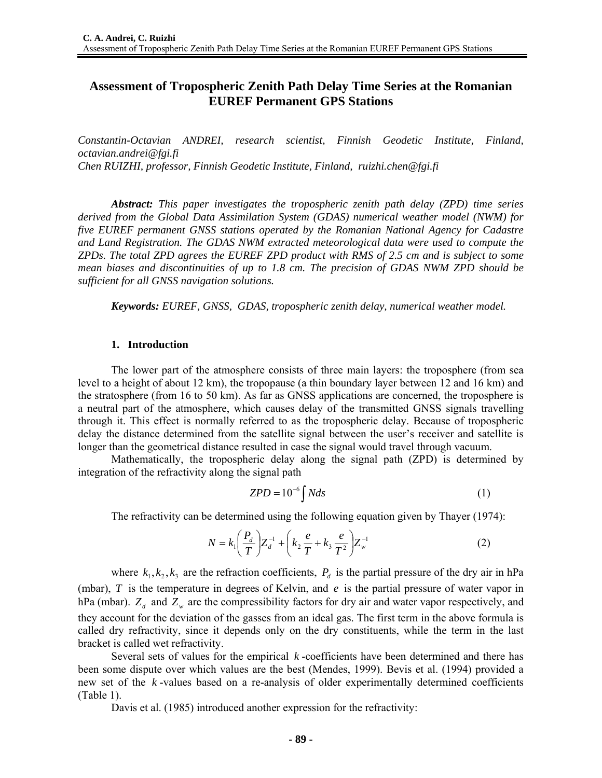# **Assessment of Tropospheric Zenith Path Delay Time Series at the Romanian EUREF Permanent GPS Stations**

*Constantin-Octavian ANDREI, research scientist, Finnish Geodetic Institute, Finland, octavian.andrei@fgi.fi Chen RUIZHI, professor, Finnish Geodetic Institute, Finland, ruizhi.chen@fgi.fi* 

*Abstract: This paper investigates the tropospheric zenith path delay (ZPD) time series derived from the Global Data Assimilation System (GDAS) numerical weather model (NWM) for five EUREF permanent GNSS stations operated by the Romanian National Agency for Cadastre and Land Registration. The GDAS NWM extracted meteorological data were used to compute the ZPDs. The total ZPD agrees the EUREF ZPD product with RMS of 2.5 cm and is subject to some mean biases and discontinuities of up to 1.8 cm. The precision of GDAS NWM ZPD should be sufficient for all GNSS navigation solutions.* 

*Keywords: EUREF, GNSS, GDAS, tropospheric zenith delay, numerical weather model.* 

#### **1. Introduction**

The lower part of the atmosphere consists of three main layers: the troposphere (from sea level to a height of about 12 km), the tropopause (a thin boundary layer between 12 and 16 km) and the stratosphere (from 16 to 50 km). As far as GNSS applications are concerned, the troposphere is a neutral part of the atmosphere, which causes delay of the transmitted GNSS signals travelling through it. This effect is normally referred to as the tropospheric delay. Because of tropospheric delay the distance determined from the satellite signal between the user's receiver and satellite is longer than the geometrical distance resulted in case the signal would travel through vacuum.

Mathematically, the tropospheric delay along the signal path (ZPD) is determined by integration of the refractivity along the signal path

$$
ZPD = 10^{-6} \int Nds \tag{1}
$$

The refractivity can be determined using the following equation given by Thayer (1974):

$$
N = k_1 \left(\frac{P_d}{T}\right) Z_d^{-1} + \left(k_2 \frac{e}{T} + k_3 \frac{e}{T^2}\right) Z_w^{-1}
$$
 (2)

where  $k_1, k_2, k_3$  are the refraction coefficients,  $P_d$  is the partial pressure of the dry air in hPa (mbar), *T* is the temperature in degrees of Kelvin, and *e* is the partial pressure of water vapor in hPa (mbar).  $Z_d$  and  $Z_w$  are the compressibility factors for dry air and water vapor respectively, and they account for the deviation of the gasses from an ideal gas. The first term in the above formula is called dry refractivity, since it depends only on the dry constituents, while the term in the last bracket is called wet refractivity.

Several sets of values for the empirical *k* -coefficients have been determined and there has been some dispute over which values are the best (Mendes, 1999). Bevis et al. (1994) provided a new set of the *k* -values based on a re-analysis of older experimentally determined coefficients (Table 1).

Davis et al. (1985) introduced another expression for the refractivity: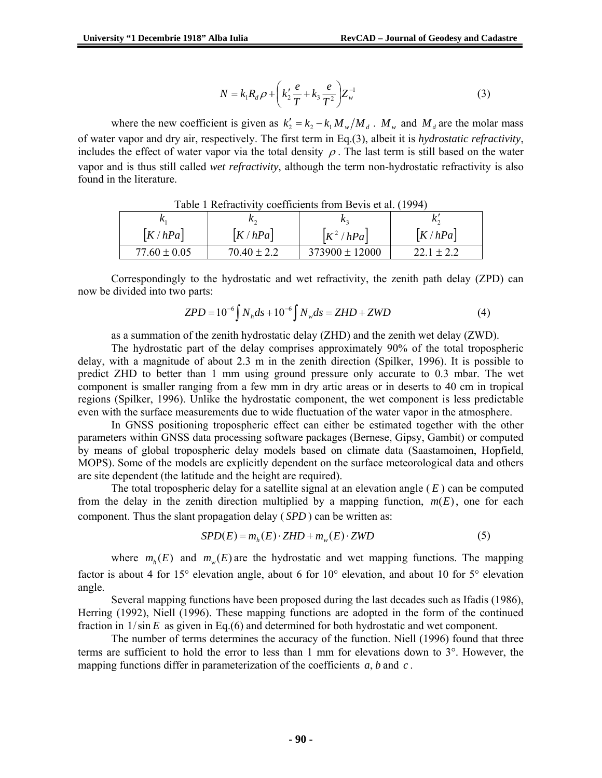$$
N = k_1 R_d \rho + \left(k_2' \frac{e}{T} + k_3 \frac{e}{T^2}\right) Z_w^{-1}
$$
 (3)

where the new coefficient is given as  $k'_2 = k_2 - k_1 M_w / M_d$ .  $M_w$  and  $M_d$  are the molar mass of water vapor and dry air, respectively. The first term in Eq.(3), albeit it is *hydrostatic refractivity*, includes the effect of water vapor via the total density  $\rho$ . The last term is still based on the water vapor and is thus still called *wet refractivity*, although the term non-hydrostatic refractivity is also found in the literature.

| Table T Reflactivity coefficients from Bevis et al. (1994) |                 |                          |                |  |  |  |  |  |  |
|------------------------------------------------------------|-----------------|--------------------------|----------------|--|--|--|--|--|--|
|                                                            | π,              |                          |                |  |  |  |  |  |  |
| K/hPa                                                      | K/hPa           | $\left  K^2/hPa \right $ | K/hPa          |  |  |  |  |  |  |
| $77.60 \pm 0.05$                                           | $70.40 \pm 2.2$ | $373900 \pm 12000$       | $22.1 \pm 2.2$ |  |  |  |  |  |  |

Table 1 Refractivity coefficients from Bevis et al. (1994)

Correspondingly to the hydrostatic and wet refractivity, the zenith path delay (ZPD) can now be divided into two parts:

$$
ZPD = 10^{-6} \int N_h ds + 10^{-6} \int N_w ds = ZHD + ZWD \tag{4}
$$

as a summation of the zenith hydrostatic delay (ZHD) and the zenith wet delay (ZWD).

The hydrostatic part of the delay comprises approximately 90% of the total tropospheric delay, with a magnitude of about 2.3 m in the zenith direction (Spilker, 1996). It is possible to predict ZHD to better than 1 mm using ground pressure only accurate to 0.3 mbar. The wet component is smaller ranging from a few mm in dry artic areas or in deserts to 40 cm in tropical regions (Spilker, 1996). Unlike the hydrostatic component, the wet component is less predictable even with the surface measurements due to wide fluctuation of the water vapor in the atmosphere.

In GNSS positioning tropospheric effect can either be estimated together with the other parameters within GNSS data processing software packages (Bernese, Gipsy, Gambit) or computed by means of global tropospheric delay models based on climate data (Saastamoinen, Hopfield, MOPS). Some of the models are explicitly dependent on the surface meteorological data and others are site dependent (the latitude and the height are required).

The total tropospheric delay for a satellite signal at an elevation angle  $(E)$  can be computed from the delay in the zenith direction multiplied by a mapping function,  $m(E)$ , one for each component. Thus the slant propagation delay ( *SPD* ) can be written as:

$$
SPD(E) = mh(E) \cdot ZHD + mw(E) \cdot ZWD
$$
 (5)

where  $m_h(E)$  and  $m_v(E)$  are the hydrostatic and wet mapping functions. The mapping factor is about 4 for 15° elevation angle, about 6 for 10° elevation, and about 10 for 5° elevation angle.

Several mapping functions have been proposed during the last decades such as Ifadis (1986), Herring (1992), Niell (1996). These mapping functions are adopted in the form of the continued fraction in  $1/\sin E$  as given in Eq.(6) and determined for both hydrostatic and wet component.

The number of terms determines the accuracy of the function. Niell (1996) found that three terms are sufficient to hold the error to less than  $1 \text{ mm}$  for elevations down to  $3^{\circ}$ . However, the mapping functions differ in parameterization of the coefficients *a*, *b* and *c* .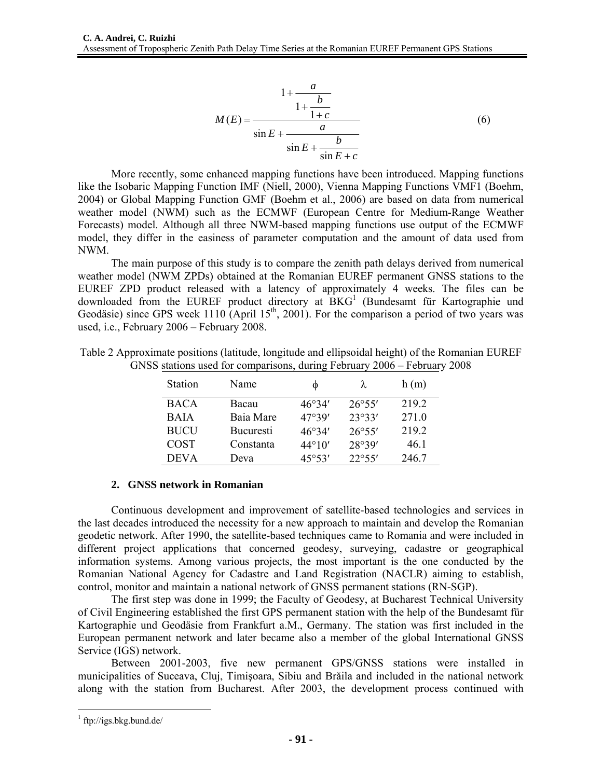$$
M(E) = \frac{1 + \frac{a}{1 + \frac{b}{1 + c}}}{\sin E + \frac{a}{\sin E + \frac{b}{\sin E + c}}}
$$
(6)

More recently, some enhanced mapping functions have been introduced. Mapping functions like the Isobaric Mapping Function IMF (Niell, 2000), Vienna Mapping Functions VMF1 (Boehm, 2004) or Global Mapping Function GMF (Boehm et al., 2006) are based on data from numerical weather model (NWM) such as the ECMWF (European Centre for Medium-Range Weather Forecasts) model. Although all three NWM-based mapping functions use output of the ECMWF model, they differ in the easiness of parameter computation and the amount of data used from NWM.

The main purpose of this study is to compare the zenith path delays derived from numerical weather model (NWM ZPDs) obtained at the Romanian EUREF permanent GNSS stations to the EUREF ZPD product released with a latency of approximately 4 weeks. The files can be downloaded from the EUREF product directory at  $BKG<sup>1</sup>$  (Bundesamt für Kartographie und Geodäsie) since GPS week 1110 (April 15<sup>th</sup>, 2001). For the comparison a period of two years was used, i.e., February 2006 – February 2008.

Table 2 Approximate positions (latitude, longitude and ellipsoidal height) of the Romanian EUREF GNSS stations used for comparisons, during February 2006 – February 2008

| <b>Station</b> | Name             |                 | λ               | h(m)  |
|----------------|------------------|-----------------|-----------------|-------|
| <b>BACA</b>    | Bacau            | 46°34'          | $26^{\circ}55'$ | 2192  |
| <b>BAJA</b>    | Baia Mare        | 47°39'          | 23°33'          | 271.0 |
| <b>BUCU</b>    | <b>Bucuresti</b> | 46°34'          | 26°55'          | 2192  |
| <b>COST</b>    | Constanta        | $44^{\circ}10'$ | 28°39'          | 46.1  |
| <b>DEVA</b>    | Deva             | 45°53'          | 22°55'          | 246.7 |

### **2. GNSS network in Romanian**

Continuous development and improvement of satellite-based technologies and services in the last decades introduced the necessity for a new approach to maintain and develop the Romanian geodetic network. After 1990, the satellite-based techniques came to Romania and were included in different project applications that concerned geodesy, surveying, cadastre or geographical information systems. Among various projects, the most important is the one conducted by the Romanian National Agency for Cadastre and Land Registration (NACLR) aiming to establish, control, monitor and maintain a national network of GNSS permanent stations (RN-SGP).

The first step was done in 1999; the Faculty of Geodesy, at Bucharest Technical University of Civil Engineering established the first GPS permanent station with the help of the Bundesamt für Kartographie und Geodäsie from Frankfurt a.M., Germany. The station was first included in the European permanent network and later became also a member of the global International GNSS Service (IGS) network.

Between 2001-2003, five new permanent GPS/GNSS stations were installed in municipalities of Suceava, Cluj, Timişoara, Sibiu and Brăila and included in the national network along with the station from Bucharest. After 2003, the development process continued with

 1 ftp://igs.bkg.bund.de/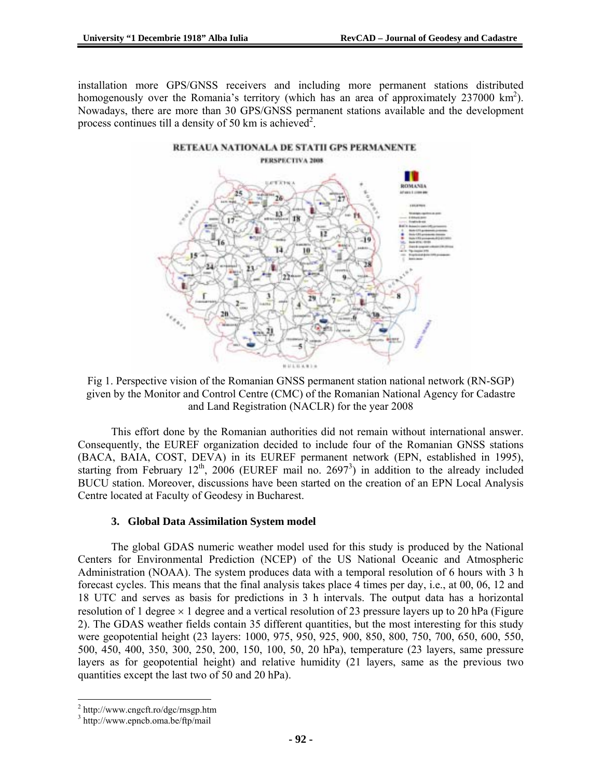installation more GPS/GNSS receivers and including more permanent stations distributed homogenously over the Romania's territory (which has an area of approximately 237000  $\text{km}^2$ ). Nowadays, there are more than 30 GPS/GNSS permanent stations available and the development process continues till a density of 50 km is achieved<sup>2</sup>.



Fig 1. Perspective vision of the Romanian GNSS permanent station national network (RN-SGP) given by the Monitor and Control Centre (CMC) of the Romanian National Agency for Cadastre and Land Registration (NACLR) for the year 2008

This effort done by the Romanian authorities did not remain without international answer. Consequently, the EUREF organization decided to include four of the Romanian GNSS stations (BACA, BAIA, COST, DEVA) in its EUREF permanent network (EPN, established in 1995), starting from February  $12^{th}$ , 2006 (EUREF mail no. 2697<sup>3</sup>) in addition to the already included BUCU station. Moreover, discussions have been started on the creation of an EPN Local Analysis Centre located at Faculty of Geodesy in Bucharest.

## **3. Global Data Assimilation System model**

The global GDAS numeric weather model used for this study is produced by the National Centers for Environmental Prediction (NCEP) of the US National Oceanic and Atmospheric Administration (NOAA). The system produces data with a temporal resolution of 6 hours with 3 h forecast cycles. This means that the final analysis takes place 4 times per day, i.e., at 00, 06, 12 and 18 UTC and serves as basis for predictions in 3 h intervals. The output data has a horizontal resolution of 1 degree  $\times$  1 degree and a vertical resolution of 23 pressure layers up to 20 hPa (Figure 2). The GDAS weather fields contain 35 different quantities, but the most interesting for this study were geopotential height (23 layers: 1000, 975, 950, 925, 900, 850, 800, 750, 700, 650, 600, 550, 500, 450, 400, 350, 300, 250, 200, 150, 100, 50, 20 hPa), temperature (23 layers, same pressure layers as for geopotential height) and relative humidity (21 layers, same as the previous two quantities except the last two of 50 and 20 hPa).

 2 http://www.cngcft.ro/dgc/rnsgp.htm

<sup>3</sup> http://www.epncb.oma.be/ftp/mail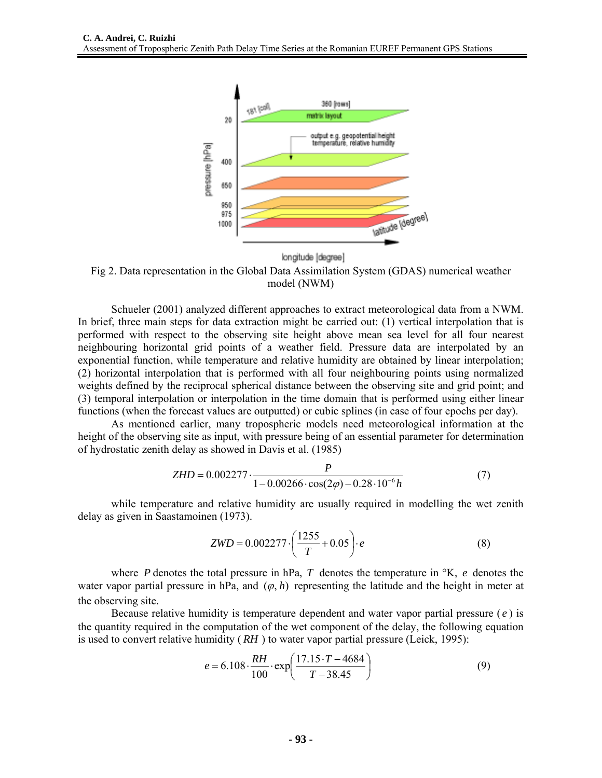

longitude [degree]

Fig 2. Data representation in the Global Data Assimilation System (GDAS) numerical weather model (NWM)

Schueler (2001) analyzed different approaches to extract meteorological data from a NWM. In brief, three main steps for data extraction might be carried out: (1) vertical interpolation that is performed with respect to the observing site height above mean sea level for all four nearest neighbouring horizontal grid points of a weather field. Pressure data are interpolated by an exponential function, while temperature and relative humidity are obtained by linear interpolation; (2) horizontal interpolation that is performed with all four neighbouring points using normalized weights defined by the reciprocal spherical distance between the observing site and grid point; and (3) temporal interpolation or interpolation in the time domain that is performed using either linear functions (when the forecast values are outputted) or cubic splines (in case of four epochs per day).

As mentioned earlier, many tropospheric models need meteorological information at the height of the observing site as input, with pressure being of an essential parameter for determination of hydrostatic zenith delay as showed in Davis et al. (1985)

$$
ZHD = 0.002277 \cdot \frac{P}{1 - 0.00266 \cdot \cos(2\varphi) - 0.28 \cdot 10^{-6} h}
$$
(7)

while temperature and relative humidity are usually required in modelling the wet zenith delay as given in Saastamoinen (1973).

$$
ZWD = 0.002277 \cdot \left(\frac{1255}{T} + 0.05\right) \cdot e \tag{8}
$$

where *P* denotes the total pressure in hPa, *T* denotes the temperature in °K, *e* denotes the water vapor partial pressure in hPa, and  $(\varphi, h)$  representing the latitude and the height in meter at the observing site.

Because relative humidity is temperature dependent and water vapor partial pressure ( *e* ) is the quantity required in the computation of the wet component of the delay, the following equation is used to convert relative humidity ( *RH* ) to water vapor partial pressure (Leick, 1995):

$$
e = 6.108 \cdot \frac{RH}{100} \cdot \exp\left(\frac{17.15 \cdot T - 4684}{T - 38.45}\right)
$$
(9)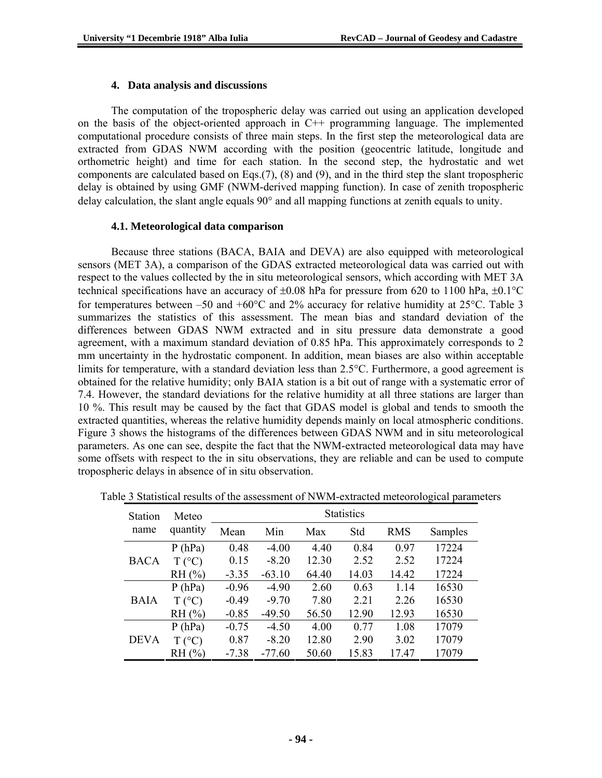#### **4. Data analysis and discussions**

The computation of the tropospheric delay was carried out using an application developed on the basis of the object-oriented approach in C++ programming language. The implemented computational procedure consists of three main steps. In the first step the meteorological data are extracted from GDAS NWM according with the position (geocentric latitude, longitude and orthometric height) and time for each station. In the second step, the hydrostatic and wet components are calculated based on Eqs.(7), (8) and (9), and in the third step the slant tropospheric delay is obtained by using GMF (NWM-derived mapping function). In case of zenith tropospheric delay calculation, the slant angle equals 90° and all mapping functions at zenith equals to unity.

#### **4.1. Meteorological data comparison**

Because three stations (BACA, BAIA and DEVA) are also equipped with meteorological sensors (MET 3A), a comparison of the GDAS extracted meteorological data was carried out with respect to the values collected by the in situ meteorological sensors, which according with MET 3A technical specifications have an accuracy of  $\pm 0.08$  hPa for pressure from 620 to 1100 hPa,  $\pm 0.1$ °C for temperatures between –50 and +60 $^{\circ}$ C and 2% accuracy for relative humidity at 25 $^{\circ}$ C. Table 3 summarizes the statistics of this assessment. The mean bias and standard deviation of the differences between GDAS NWM extracted and in situ pressure data demonstrate a good agreement, with a maximum standard deviation of 0.85 hPa. This approximately corresponds to 2 mm uncertainty in the hydrostatic component. In addition, mean biases are also within acceptable limits for temperature, with a standard deviation less than 2.5°C. Furthermore, a good agreement is obtained for the relative humidity; only BAIA station is a bit out of range with a systematic error of 7.4. However, the standard deviations for the relative humidity at all three stations are larger than 10 %. This result may be caused by the fact that GDAS model is global and tends to smooth the extracted quantities, whereas the relative humidity depends mainly on local atmospheric conditions. Figure 3 shows the histograms of the differences between GDAS NWM and in situ meteorological parameters. As one can see, despite the fact that the NWM-extracted meteorological data may have some offsets with respect to the in situ observations, they are reliable and can be used to compute tropospheric delays in absence of in situ observation.

| <b>Station</b> | Meteo           |         |          |       |       |       |         |
|----------------|-----------------|---------|----------|-------|-------|-------|---------|
| name           | quantity        | Mean    | Min      | Max   | Std   | RMS   | Samples |
|                | P(hPa)          | 0.48    | $-4.00$  | 4.40  | 0.84  | 0.97  | 17224   |
| BACA           | $T (^{\circ}C)$ | 0.15    | $-8.20$  | 12.30 | 2.52  | 2.52  | 17224   |
|                | RH (%)          | $-3.35$ | $-63.10$ | 64.40 | 14.03 | 14.42 | 17224   |
|                | P(hPa)          | $-0.96$ | $-4.90$  | 2.60  | 0.63  | 1.14  | 16530   |
| <b>BAIA</b>    | $T (^{\circ}C)$ | $-0.49$ | $-9.70$  | 7.80  | 2.21  | 2.26  | 16530   |
|                | RH (%)          | $-0.85$ | $-49.50$ | 56.50 | 12.90 | 12.93 | 16530   |
|                | P(hPa)          | $-0.75$ | $-4.50$  | 4.00  | 0.77  | 1.08  | 17079   |
| <b>DEVA</b>    | $T (^{\circ}C)$ | 0.87    | $-8.20$  | 12.80 | 2.90  | 3.02  | 17079   |
|                | RH (%)          | $-7.38$ | $-77.60$ | 50.60 | 15.83 | 17.47 | 17079   |

|  |  | Table 3 Statistical results of the assessment of NWM-extracted meteorological parameters |  |
|--|--|------------------------------------------------------------------------------------------|--|
|  |  |                                                                                          |  |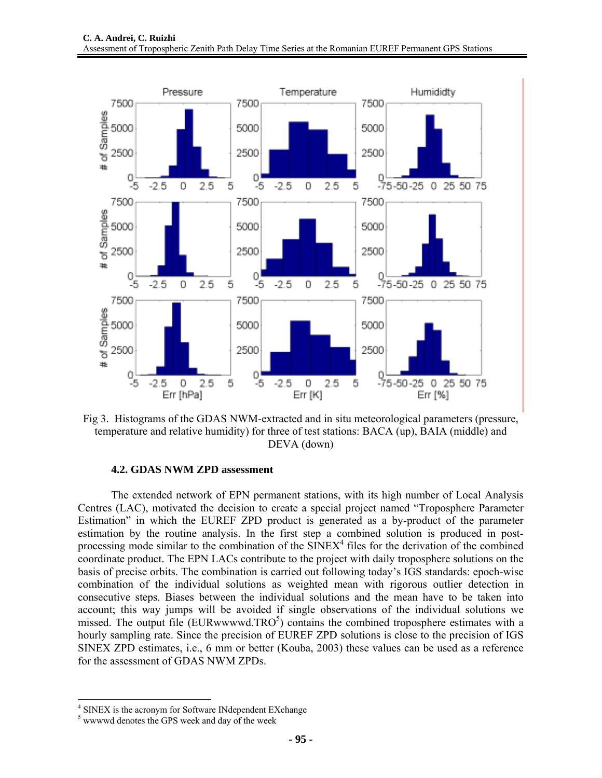

Fig 3. Histograms of the GDAS NWM-extracted and in situ meteorological parameters (pressure, temperature and relative humidity) for three of test stations: BACA (up), BAIA (middle) and DEVA (down)

#### **4.2. GDAS NWM ZPD assessment**

The extended network of EPN permanent stations, with its high number of Local Analysis Centres (LAC), motivated the decision to create a special project named "Troposphere Parameter Estimation" in which the EUREF ZPD product is generated as a by-product of the parameter estimation by the routine analysis. In the first step a combined solution is produced in postprocessing mode similar to the combination of the  $SINEX<sup>4</sup>$  files for the derivation of the combined coordinate product. The EPN LACs contribute to the project with daily troposphere solutions on the basis of precise orbits. The combination is carried out following today's IGS standards: epoch-wise combination of the individual solutions as weighted mean with rigorous outlier detection in consecutive steps. Biases between the individual solutions and the mean have to be taken into account; this way jumps will be avoided if single observations of the individual solutions we missed. The output file (EURwwwwd.TRO $5$ ) contains the combined troposphere estimates with a hourly sampling rate. Since the precision of EUREF ZPD solutions is close to the precision of IGS SINEX ZPD estimates, i.e., 6 mm or better (Kouba, 2003) these values can be used as a reference for the assessment of GDAS NWM ZPDs.

 4 SINEX is the acronym for Software INdependent EXchange

<sup>&</sup>lt;sup>5</sup> wwwwd denotes the GPS week and day of the week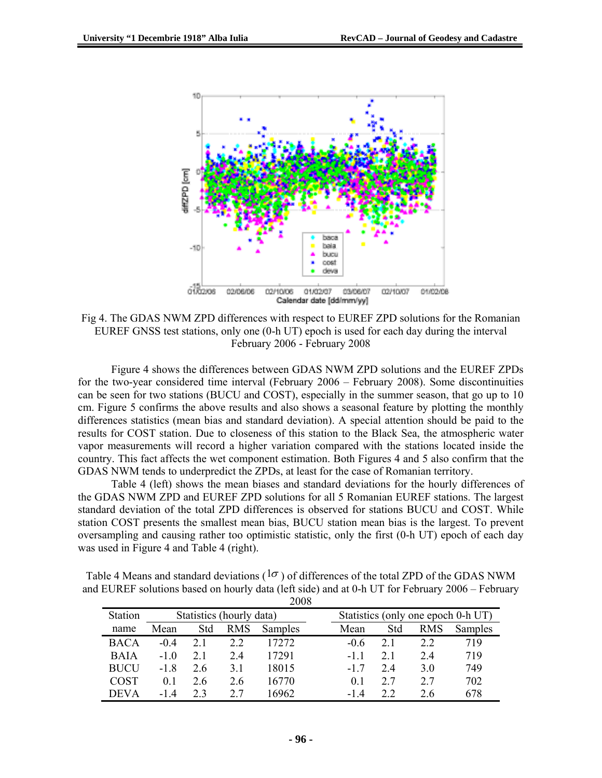

Fig 4. The GDAS NWM ZPD differences with respect to EUREF ZPD solutions for the Romanian EUREF GNSS test stations, only one (0-h UT) epoch is used for each day during the interval February 2006 - February 2008

Figure 4 shows the differences between GDAS NWM ZPD solutions and the EUREF ZPDs for the two-year considered time interval (February 2006 – February 2008). Some discontinuities can be seen for two stations (BUCU and COST), especially in the summer season, that go up to 10 cm. Figure 5 confirms the above results and also shows a seasonal feature by plotting the monthly differences statistics (mean bias and standard deviation). A special attention should be paid to the results for COST station. Due to closeness of this station to the Black Sea, the atmospheric water vapor measurements will record a higher variation compared with the stations located inside the country. This fact affects the wet component estimation. Both Figures 4 and 5 also confirm that the GDAS NWM tends to underpredict the ZPDs, at least for the case of Romanian territory.

Table 4 (left) shows the mean biases and standard deviations for the hourly differences of the GDAS NWM ZPD and EUREF ZPD solutions for all 5 Romanian EUREF stations. The largest standard deviation of the total ZPD differences is observed for stations BUCU and COST. While station COST presents the smallest mean bias, BUCU station mean bias is the largest. To prevent oversampling and causing rather too optimistic statistic, only the first (0-h UT) epoch of each day was used in Figure 4 and Table 4 (right).

Table 4 Means and standard deviations ( $1\sigma$ ) of differences of the total ZPD of the GDAS NWM and EUREF solutions based on hourly data (left side) and at 0-h UT for February 2006 – February 2008

| ---         |                          |     |            |                |  |                                    |     |            |         |
|-------------|--------------------------|-----|------------|----------------|--|------------------------------------|-----|------------|---------|
| Station     | Statistics (hourly data) |     |            |                |  | Statistics (only one epoch 0-h UT) |     |            |         |
| name        | Mean                     | Std | <b>RMS</b> | <b>Samples</b> |  | Mean                               | Std | <b>RMS</b> | Samples |
| <b>BACA</b> | $-0.4$                   |     | 2.2        | 17272          |  | $-06$                              | 2.1 | 22         | 719     |
| <b>BAIA</b> | $-10$                    | 21  | 24         | 17291          |  | -11                                | 2.1 | 24         | 719     |
| <b>BUCU</b> | -18                      | 26  | 31         | 18015          |  | $-17$                              | 2.4 | 3.0        | 749     |
| <b>COST</b> | 0 <sub>1</sub>           | 26  | 2.6        | 16770          |  | 01                                 | 2.7 | 27         | 702     |
| <b>DEVA</b> | -14                      | フ 3 | 27         | 16962          |  | -14                                | 22  | 26         | 678     |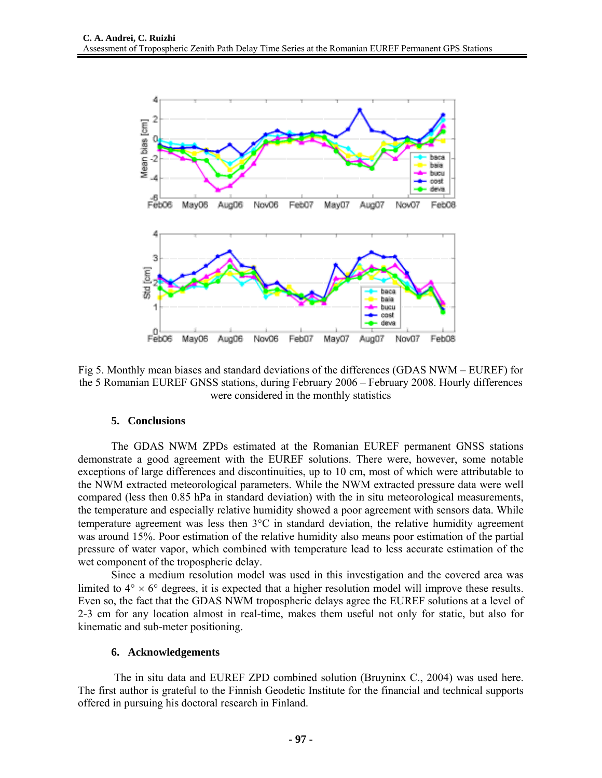

Fig 5. Monthly mean biases and standard deviations of the differences (GDAS NWM – EUREF) for the 5 Romanian EUREF GNSS stations, during February 2006 – February 2008. Hourly differences were considered in the monthly statistics

### **5. Conclusions**

The GDAS NWM ZPDs estimated at the Romanian EUREF permanent GNSS stations demonstrate a good agreement with the EUREF solutions. There were, however, some notable exceptions of large differences and discontinuities, up to 10 cm, most of which were attributable to the NWM extracted meteorological parameters. While the NWM extracted pressure data were well compared (less then 0.85 hPa in standard deviation) with the in situ meteorological measurements, the temperature and especially relative humidity showed a poor agreement with sensors data. While temperature agreement was less then  $3^{\circ}$ C in standard deviation, the relative humidity agreement was around 15%. Poor estimation of the relative humidity also means poor estimation of the partial pressure of water vapor, which combined with temperature lead to less accurate estimation of the wet component of the tropospheric delay.

Since a medium resolution model was used in this investigation and the covered area was limited to  $4^{\circ} \times 6^{\circ}$  degrees, it is expected that a higher resolution model will improve these results. Even so, the fact that the GDAS NWM tropospheric delays agree the EUREF solutions at a level of 2-3 cm for any location almost in real-time, makes them useful not only for static, but also for kinematic and sub-meter positioning.

#### **6. Acknowledgements**

 The in situ data and EUREF ZPD combined solution (Bruyninx C., 2004) was used here. The first author is grateful to the Finnish Geodetic Institute for the financial and technical supports offered in pursuing his doctoral research in Finland.